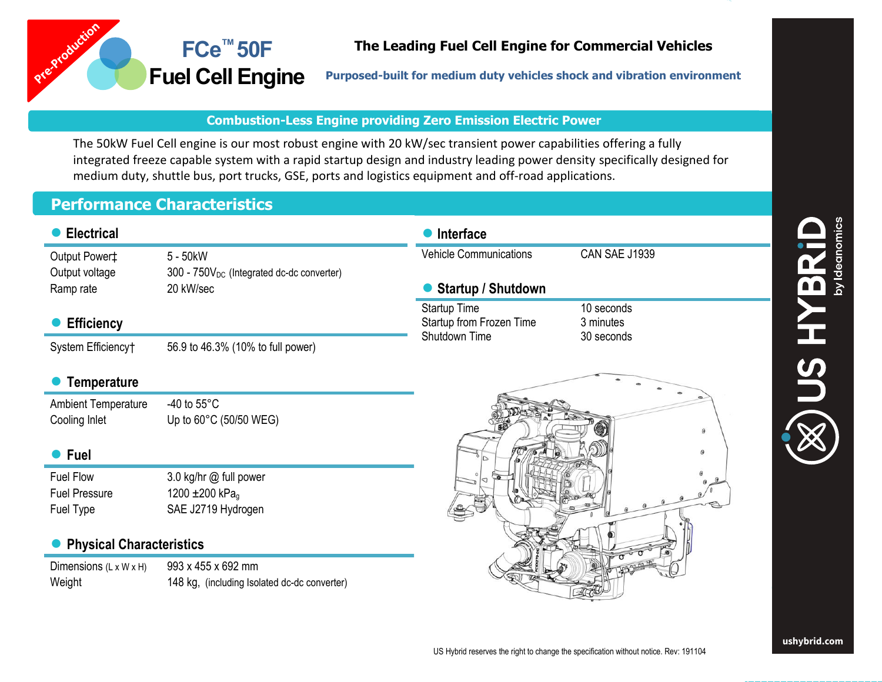

## **The Leading Fuel Cell Engine for Commercial Vehicles**

**Purposed-built for medium duty vehicles shock and vibration environment**

## **Combustion-Less Engine providing Zero Emission Electric Power**

The 50kW Fuel Cell engine is our most robust engine with 20 kW/sec transient power capabilities offering a fully integrated freeze capable system with a rapid startup design and industry leading power density specifically designed for medium duty, shuttle bus, port trucks, GSE, ports and logistics equipment and off-road applications.

## **Performance Characteristics**

**FCe™ 50F**

| <b>Electrical</b>                  |                                                       | <b>Interface</b>              |                      |  |
|------------------------------------|-------------------------------------------------------|-------------------------------|----------------------|--|
| Output Power‡                      | 5 - 50kW                                              | <b>Vehicle Communications</b> | CAN SAE J1939        |  |
| Output voltage                     | 300 - 750V <sub>DC</sub> (Integrated dc-dc converter) |                               |                      |  |
| Ramp rate                          | 20 kW/sec                                             | <b>Startup / Shutdown</b>     |                      |  |
|                                    |                                                       | <b>Startup Time</b>           | 10 seconds           |  |
| <b>Efficiency</b>                  |                                                       | Startup from Frozen Time      | 3 minutes            |  |
| System Efficiency†                 | 56.9 to 46.3% (10% to full power)                     | Shutdown Time                 | 30 seconds           |  |
|                                    |                                                       |                               |                      |  |
| <b>Temperature</b>                 |                                                       |                               |                      |  |
| <b>Ambient Temperature</b>         | -40 to $55^{\circ}$ C                                 |                               |                      |  |
| Cooling Inlet                      | Up to $60^{\circ}$ C (50/50 WEG)                      |                               | $\theta$             |  |
|                                    |                                                       |                               |                      |  |
| <b>Fuel</b>                        |                                                       |                               | $\Theta$             |  |
| Fuel Flow                          | 3.0 kg/hr @ full power                                |                               |                      |  |
| <b>Fuel Pressure</b>               | 1200 $\pm$ 200 kPag                                   |                               |                      |  |
| Fuel Type                          | SAE J2719 Hydrogen                                    |                               |                      |  |
|                                    |                                                       |                               |                      |  |
| <b>Physical Characteristics</b>    |                                                       |                               | $\sigma$ or $\sigma$ |  |
| Dimensions $(L \times W \times H)$ | 993 x 455 x 692 mm                                    |                               |                      |  |
| Weight                             | 148 kg, (including Isolated dc-dc converter)          |                               |                      |  |

**™** 

**Fuel Cell Engine**

H<br>SUC